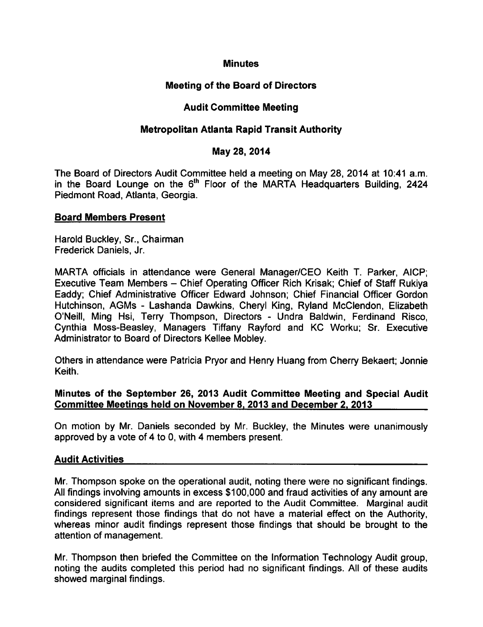## **Minutes**

# Meeting of the Board of Directors

# Audit Committee Meeting

# Metropolitan Atlanta Rapid Transit Authority

### May 28, 2014

The Board of Directors Audit Committee held a meeting on May 28, 2014 at 10:41 a.m. in the Board Lounge on the  $6<sup>th</sup>$  Floor of the MARTA Headquarters Building, 2424 Piedmont Road, Atlanta, Georgia.

### Board Members Present

Harold Buckley, Sr., Chairman Frederick Daniels, Jr.

MARTA officials in attendance were General Manager/CEO Keith T. Parker, AICP; Executive Team Members – Chief Operating Officer Rich Krisak; Chief of Staff Rukiya Eaddy; Chief Administrative Officer Edward Johnson; Chief Financial Officer Gordon Hutchinson, AGMs - Lashanda Dawkins, Cheryl King, Ryland McClendon, Elizabeth O'Neill, Ming Hsi, Terry Thompson, Directors - Undra Baldwin, Ferdinand Risco, Cynthia Moss-Beasley, Managers Tiffany Rayford and KC Worku; Sr. Executive Administrator to Board of Directors Kellee Mobley.

Others in attendance were Patricia Pryor and Henry Huang from Cherry Bekaert; Jonnie Keith.

### Minutes of the September 26, 2013 Audit Committee Meeting and Special Audit Committee Meetings held on November 8. 2013 and December 2. 2013

On motion by Mr. Daniels seconded by Mr. Buckley, the Minutes were unanimously approved by a vote of 4 to 0, with 4 members present.

# Audit Activities

Mr. Thompson spoke on the operational audit, noting there were no significant findings. All findings involving amounts in excess \$100,000 and fraud activities of any amount are considered significant items and are reported to the Audit Committee. Marginal audit findings represent those findings that do not have a material effect on the Authority, whereas minor audit findings represent those findings that should be brought to the attention of management.

Mr. Thompson then briefed the Committee on the Information Technology Audit group, noting the audits completed this period had no significant findings. All of these audits showed marginal findings.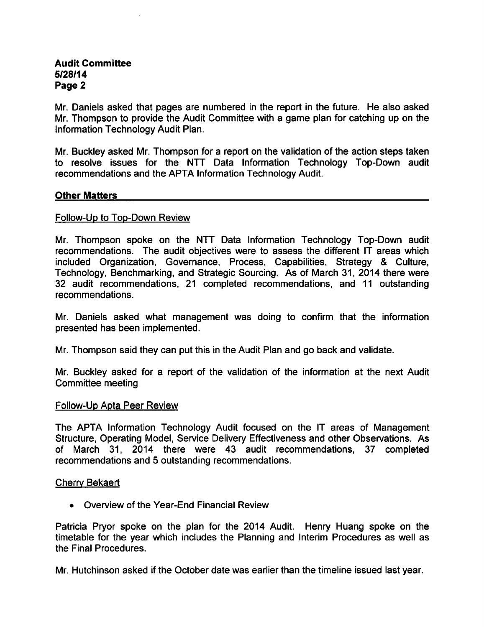# Audit Committee 5/28/14 Page 2

Mr. Daniels asked that pages are numbered in the report in the future. He also asked Mr. Thompson to provide the Audit Committee with a game plan for catching up on the Information Technology Audit Plan.

Mr. Buckley asked Mr. Thompson for a report on the validation of the action steps taken to resolve issues for the NTT Data Information Technology Top-Down audit recommendations and the APTA Information Technology Audit.

### Other Matters

#### Follow-Up to Top-Down Review

Mr. Thompson spoke on the NTT Data Information Technology Top-Down audit recommendations. The audit objectives were to assess the different IT areas which included Organization, Governance, Process, Capabilities, Strategy & Culture, Technology, Benchmarking, and Strategic Sourcing. As of March 31, 2014 there were 32 audit recommendations, 21 completed recommendations, and 11 outstanding recommendations.

Mr. Daniels asked what management was doing to confirm that the information presented has been implemented.

Mr. Thompson said they can put this in the Audit Plan and go back and validate.

Mr. Buckley asked for a report of the validation of the information at the next Audit Committee meeting

#### Follow-Up Apta Peer Review

The APTA Information Technology Audit focused on the IT areas of Management Structure, Operating Model, Service Delivery Effectiveness and other Observations. As of March 31, 2014 there were 43 audit recommendations, 37 completed recommendations and 5 outstanding recommendations.

#### Cherry Bekaert

Overview of the Year-End Financial Review

Patricia Pryor spoke on the plan for the 2014 Audit. Henry Huang spoke on the timetable for the year which includes the Planning and Interim Procedures as well as the Final Procedures.

Mr. Hutchinson asked if the October date was earlier than the timeline issued last year.